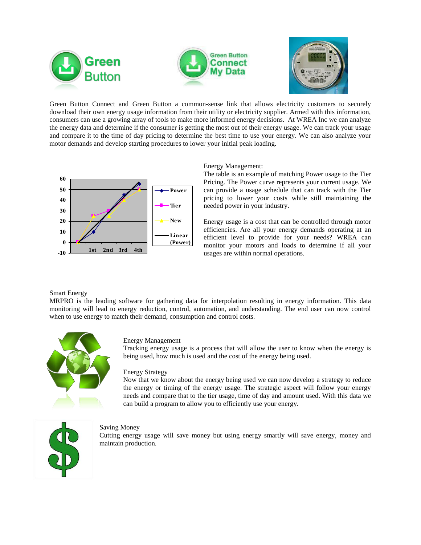



Green Button Connect and Green Button a common-sense link that allows electricity customers to securely download their own energy usage information from their utility or electricity supplier. Armed with this information, consumers can use a growing array of tools to make more informed energy decisions. At WREA Inc we can analyze the energy data and determine if the consumer is getting the most out of their energy usage. We can track your usage and compare it to the time of day pricing to determine the best time to use your energy. We can also analyze your motor demands and develop starting procedures to lower your initial peak loading.



## Energy Management:

The table is an example of matching Power usage to the Tier Pricing. The Power curve represents your current usage. We can provide a usage schedule that can track with the Tier pricing to lower your costs while still maintaining the needed power in your industry.

Energy usage is a cost that can be controlled through motor efficiencies. Are all your energy demands operating at an efficient level to provide for your needs? WREA can monitor your motors and loads to determine if all your usages are within normal operations.

### Smart Energy

MRPRO is the leading software for gathering data for interpolation resulting in energy information. This data monitoring will lead to energy reduction, control, automation, and understanding. The end user can now control when to use energy to match their demand, consumption and control costs.



#### Energy Management

Tracking energy usage is a process that will allow the user to know when the energy is being used, how much is used and the cost of the energy being used.

#### Energy Strategy

Now that we know about the energy being used we can now develop a strategy to reduce the energy or timing of the energy usage. The strategic aspect will follow your energy needs and compare that to the tier usage, time of day and amount used. With this data we can build a program to allow you to efficiently use your energy.



## Saving Money

Cutting energy usage will save money but using energy smartly will save energy, money and maintain production.